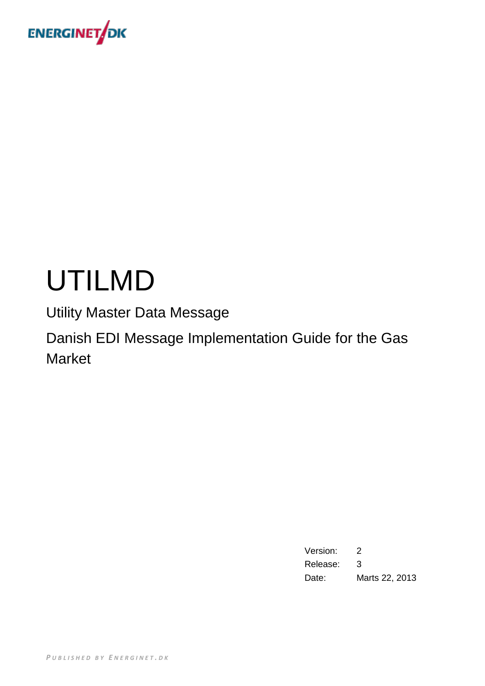

## UTILMD

Utility Master Data Message

Danish EDI Message Implementation Guide for the Gas Market

> Version: 2 Release: 3 Date: Marts 22, 2013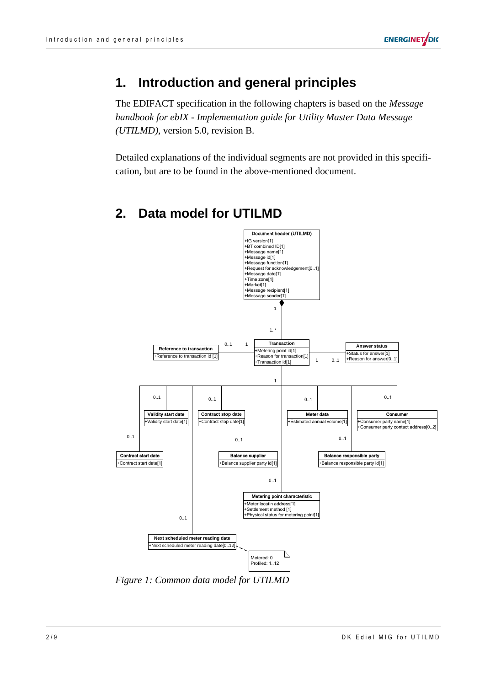

## **1. Introduction and general principles**

The EDIFACT specification in the following chapters is based on the *Message handbook for ebIX - Implementation guide for Utility Master Data Message (UTILMD)*, version 5.0, revision B.

Detailed explanations of the individual segments are not provided in this specification, but are to be found in the above-mentioned document.



## **2. Data model for UTILMD**

*Figure 1: Common data model for UTILMD*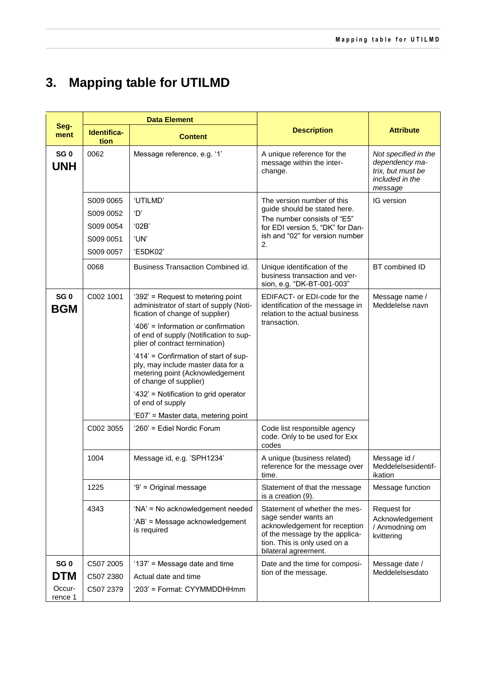## **3. Mapping table for UTILMD**

|                               | <b>Data Element</b>                                           |                                                                                                                                          |                                                                                                                                                                        |                                                                                           |
|-------------------------------|---------------------------------------------------------------|------------------------------------------------------------------------------------------------------------------------------------------|------------------------------------------------------------------------------------------------------------------------------------------------------------------------|-------------------------------------------------------------------------------------------|
| Seg-<br>ment                  | Identifica-<br>tion                                           | <b>Content</b>                                                                                                                           | <b>Description</b>                                                                                                                                                     | <b>Attribute</b>                                                                          |
| SG <sub>0</sub><br><b>UNH</b> | 0062                                                          | Message reference, e.g. '1'                                                                                                              | A unique reference for the<br>message within the inter-<br>change.                                                                                                     | Not specified in the<br>dependency ma-<br>trix, but must be<br>included in the<br>message |
|                               | S009 0065<br>S009 0052<br>S009 0054<br>S009 0051<br>S009 0057 | 'UTILMD'<br>'D'<br>'02B'<br>'UN'<br>'E5DK02'                                                                                             | The version number of this<br>guide should be stated here.<br>The number consists of "E5"<br>for EDI version 5, "DK" for Dan-<br>ish and "02" for version number<br>2. | IG version                                                                                |
|                               | 0068                                                          | Business Transaction Combined id.                                                                                                        | Unique identification of the<br>business transaction and ver-<br>sion, e.g. "DK-BT-001-003"                                                                            | BT combined ID                                                                            |
| SG <sub>0</sub><br><b>BGM</b> | C002 1001                                                     | '392' = Request to metering point<br>administrator of start of supply (Noti-<br>fication of change of supplier)                          | EDIFACT- or EDI-code for the<br>identification of the message in<br>relation to the actual business                                                                    | Message name /<br>Meddelelse navn                                                         |
|                               |                                                               | '406' = Information or confirmation<br>of end of supply (Notification to sup-<br>plier of contract termination)                          | transaction.                                                                                                                                                           |                                                                                           |
|                               |                                                               | '414' = Confirmation of start of sup-<br>ply, may include master data for a<br>metering point (Acknowledgement<br>of change of supplier) |                                                                                                                                                                        |                                                                                           |
|                               |                                                               | '432' = Notification to grid operator<br>of end of supply                                                                                |                                                                                                                                                                        |                                                                                           |
|                               |                                                               | 'E07' = Master data, metering point                                                                                                      |                                                                                                                                                                        |                                                                                           |
|                               | C002 3055                                                     | '260' = Ediel Nordic Forum                                                                                                               | Code list responsible agency<br>code. Only to be used for Exx<br>codes                                                                                                 |                                                                                           |
|                               | 1004                                                          | Message id, e.g. 'SPH1234'                                                                                                               | A unique (business related)<br>reference for the message over<br>time.                                                                                                 | Message id /<br>Meddelelsesidentif-<br>ikation                                            |
|                               | 1225                                                          | '9' = Original message                                                                                                                   | Statement of that the message<br>is a creation (9).                                                                                                                    | Message function                                                                          |
|                               | 4343                                                          | 'NA' = No acknowledgement needed                                                                                                         | Statement of whether the mes-                                                                                                                                          | Request for                                                                               |
|                               |                                                               | 'AB' = Message acknowledgement<br>is required                                                                                            | sage sender wants an<br>acknowledgement for reception<br>of the message by the applica-<br>tion. This is only used on a<br>bilateral agreement.                        | Acknowledgement<br>/ Anmodning om<br>kvittering                                           |
| SG <sub>0</sub>               | C507 2005                                                     | '137' = Message date and time                                                                                                            | Date and the time for composi-                                                                                                                                         | Message date /                                                                            |
| <b>DTM</b>                    | C507 2380                                                     | Actual date and time                                                                                                                     | tion of the message.                                                                                                                                                   | Meddelelsesdato                                                                           |
| Occur-<br>rence 1             | C507 2379                                                     | '203' = Format: CYYMMDDHHmm                                                                                                              |                                                                                                                                                                        |                                                                                           |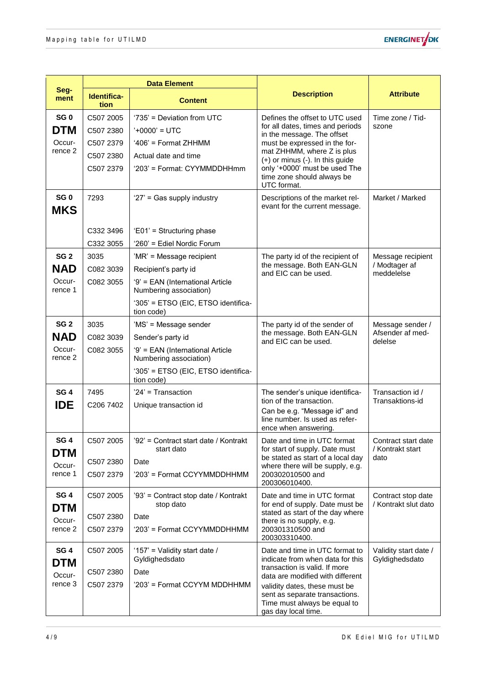

|                               | <b>Data Element</b> |                                                            |                                                                                                                        |                                            |
|-------------------------------|---------------------|------------------------------------------------------------|------------------------------------------------------------------------------------------------------------------------|--------------------------------------------|
| Seg-<br>ment                  | Identifica-<br>tion | <b>Content</b>                                             | <b>Description</b>                                                                                                     | <b>Attribute</b>                           |
| SG <sub>0</sub>               | C507 2005           | '735' = Deviation from UTC                                 | Defines the offset to UTC used                                                                                         | Time zone / Tid-                           |
| <b>DTM</b>                    | C507 2380           | $'+0000' = UTC$                                            | for all dates, times and periods<br>in the message. The offset                                                         | szone                                      |
| Occur-                        | C507 2379           | '406' = Format ZHHMM                                       | must be expressed in the for-                                                                                          |                                            |
| rence 2                       | C507 2380           | Actual date and time                                       | mat ZHHMM, where Z is plus<br>(+) or minus (-). In this guide                                                          |                                            |
|                               | C507 2379           | '203' = Format: CYYMMDDHHmm                                | only '+0000' must be used The<br>time zone should always be<br>UTC format.                                             |                                            |
| SG <sub>0</sub><br><b>MKS</b> | 7293                | '27' = Gas supply industry                                 | Descriptions of the market rel-<br>evant for the current message.                                                      | Market / Marked                            |
|                               | C332 3496           | 'E01' = Structuring phase                                  |                                                                                                                        |                                            |
|                               | C332 3055           | '260' = Ediel Nordic Forum                                 |                                                                                                                        |                                            |
| SG <sub>2</sub>               | 3035                | 'MR' = Message recipient                                   | The party id of the recipient of                                                                                       | Message recipient                          |
| <b>NAD</b>                    | C082 3039           | Recipient's party id                                       | the message. Both EAN-GLN<br>and EIC can be used.                                                                      | / Modtager af<br>meddelelse                |
| Occur-<br>rence 1             | C082 3055           | '9' = EAN (International Article<br>Numbering association) |                                                                                                                        |                                            |
|                               |                     | '305' = ETSO (EIC, ETSO identifica-<br>tion code)          |                                                                                                                        |                                            |
| SG <sub>2</sub>               | 3035                | 'MS' = Message sender                                      | The party id of the sender of                                                                                          | Message sender /<br>Afsender af med-       |
| <b>NAD</b>                    | C082 3039           | Sender's party id                                          | the message. Both EAN-GLN<br>and EIC can be used.                                                                      | delelse                                    |
| Occur-<br>rence 2             | C082 3055           | '9' = EAN (International Article<br>Numbering association) |                                                                                                                        |                                            |
|                               |                     | '305' = ETSO (EIC, ETSO identifica-<br>tion code)          |                                                                                                                        |                                            |
| SG <sub>4</sub>               | 7495                | '24' = Transaction                                         | The sender's unique identifica-<br>tion of the transaction.                                                            | Transaction id /<br>Transaktions-id        |
| <b>IDE</b>                    | C206 7402           | Unique transaction id                                      | Can be e.g. "Message id" and<br>line number. Is used as refer-<br>ence when answering.                                 |                                            |
| SG <sub>4</sub>               | C507 2005           | '92' = Contract start date / Kontrakt<br>start dato        | Date and time in UTC format<br>for start of supply. Date must                                                          | Contract start date<br>/ Kontrakt start    |
| <b>DTM</b><br>Occur-          | C507 2380           | Date                                                       | be stated as start of a local day                                                                                      | dato                                       |
| rence 1                       | C507 2379           | '203' = Format CCYYMMDDHHMM                                | where there will be supply, e.g.<br>200302010500 and<br>200306010400.                                                  |                                            |
| SG <sub>4</sub><br><b>DTM</b> | C507 2005           | '93' = Contract stop date / Kontrakt<br>stop dato          | Date and time in UTC format<br>for end of supply. Date must be                                                         | Contract stop date<br>/ Kontrakt slut dato |
| Occur-                        | C507 2380           | Date                                                       | stated as start of the day where<br>there is no supply, e.g.                                                           |                                            |
| rence 2                       | C507 2379           | '203' = Format CCYYMMDDHHMM                                | 200301310500 and<br>200303310400.                                                                                      |                                            |
| SG <sub>4</sub><br><b>DTM</b> | C507 2005           | '157' = Validity start date /<br>Gyldighedsdato            | Date and time in UTC format to<br>indicate from when data for this                                                     | Validity start date /<br>Gyldighedsdato    |
| Occur-                        | C507 2380           | Date                                                       | transaction is valid. If more<br>data are modified with different                                                      |                                            |
| rence 3                       | C507 2379           | '203' = Format CCYYM MDDHHMM                               | validity dates, these must be<br>sent as separate transactions.<br>Time must always be equal to<br>gas day local time. |                                            |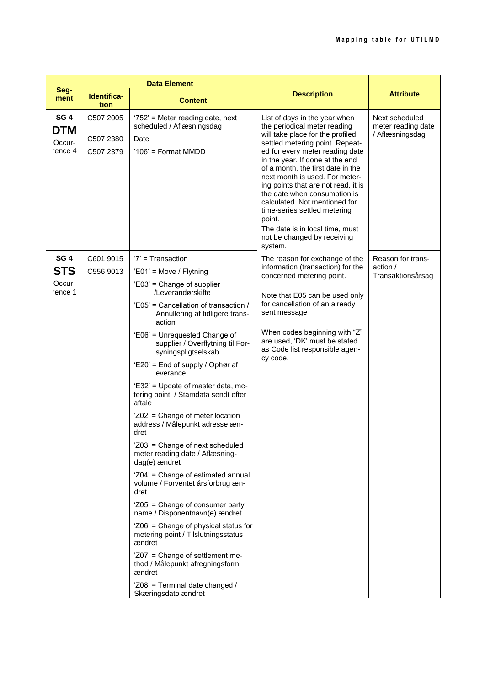|                                                    | <b>Data Element</b>                 |                                                                                                                                                                                                                                                                                                                                                                                                                                                                                                                                                                                                                                                                                                                                                                                                                                                                                                                              |                                                                                                                                                                                                                                                                                                                          |                                                         |
|----------------------------------------------------|-------------------------------------|------------------------------------------------------------------------------------------------------------------------------------------------------------------------------------------------------------------------------------------------------------------------------------------------------------------------------------------------------------------------------------------------------------------------------------------------------------------------------------------------------------------------------------------------------------------------------------------------------------------------------------------------------------------------------------------------------------------------------------------------------------------------------------------------------------------------------------------------------------------------------------------------------------------------------|--------------------------------------------------------------------------------------------------------------------------------------------------------------------------------------------------------------------------------------------------------------------------------------------------------------------------|---------------------------------------------------------|
| Seg-<br>ment                                       | Identifica-<br>tion                 | <b>Content</b>                                                                                                                                                                                                                                                                                                                                                                                                                                                                                                                                                                                                                                                                                                                                                                                                                                                                                                               | <b>Description</b>                                                                                                                                                                                                                                                                                                       | <b>Attribute</b>                                        |
| SG <sub>4</sub><br><b>DTM</b><br>Occur-<br>rence 4 | C507 2005<br>C507 2380<br>C507 2379 | '752' = Meter reading date, next<br>scheduled / Aflæsningsdag<br>Date<br>'106' = Format MMDD                                                                                                                                                                                                                                                                                                                                                                                                                                                                                                                                                                                                                                                                                                                                                                                                                                 | List of days in the year when<br>the periodical meter reading<br>will take place for the profiled<br>settled metering point. Repeat-<br>ed for every meter reading date<br>in the year. If done at the end<br>of a month, the first date in the<br>next month is used. For meter-<br>ing points that are not read, it is | Next scheduled<br>meter reading date<br>/ Aflæsningsdag |
|                                                    |                                     |                                                                                                                                                                                                                                                                                                                                                                                                                                                                                                                                                                                                                                                                                                                                                                                                                                                                                                                              | the date when consumption is<br>calculated. Not mentioned for<br>time-series settled metering<br>point.<br>The date is in local time, must<br>not be changed by receiving<br>system.                                                                                                                                     |                                                         |
| SG <sub>4</sub><br><b>STS</b><br>Occur-<br>rence 1 | C601 9015<br>C556 9013              | $'7'$ = Transaction<br>'E01' = Move / Flytning<br>'E03' = Change of supplier<br>/Leverandørskifte<br>'E05' = Cancellation of transaction /<br>Annullering af tidligere trans-<br>action<br>'E06' = Unrequested Change of<br>supplier / Overflytning til For-<br>syningspligtselskab<br>'E20' = End of supply / Ophør af<br>leverance<br>'E32' = Update of master data, me-<br>tering point / Stamdata sendt efter<br>aftale<br>'Z02' = Change of meter location<br>address / Målepunkt adresse æn-<br>dret<br>'Z03' = Change of next scheduled<br>meter reading date / Aflæsning-<br>dag(e) ændret<br>'Z04' = Change of estimated annual<br>volume / Forventet årsforbrug æn-<br>dret<br>'Z05' = Change of consumer party<br>name / Disponentnavn(e) ændret<br>'Z06' = Change of physical status for<br>metering point / Tilslutningsstatus<br>ændret<br>'Z07' = Change of settlement me-<br>thod / Målepunkt afregningsform | The reason for exchange of the<br>information (transaction) for the<br>concerned metering point.<br>Note that E05 can be used only<br>for cancellation of an already<br>sent message<br>When codes beginning with "Z"<br>are used, 'DK' must be stated<br>as Code list responsible agen-<br>cy code.                     | Reason for trans-<br>action /<br>Transaktionsårsag      |
|                                                    |                                     | ændret<br>'Z08' = Terminal date changed /<br>Skæringsdato ændret                                                                                                                                                                                                                                                                                                                                                                                                                                                                                                                                                                                                                                                                                                                                                                                                                                                             |                                                                                                                                                                                                                                                                                                                          |                                                         |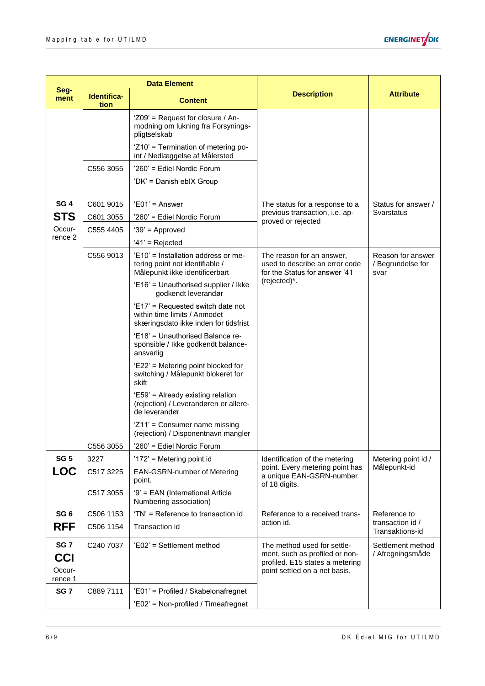

|                      | <b>Data Element</b> |                                                                                                            |                                                                                              |                                                |
|----------------------|---------------------|------------------------------------------------------------------------------------------------------------|----------------------------------------------------------------------------------------------|------------------------------------------------|
| Seg-<br>ment         | Identifica-<br>tion | <b>Content</b>                                                                                             | <b>Description</b>                                                                           | <b>Attribute</b>                               |
|                      |                     | 'Z09' = Request for closure / An-<br>modning om lukning fra Forsynings-<br>pligtselskab                    |                                                                                              |                                                |
|                      |                     | 'Z10' = Termination of metering po-<br>int / Nedlæggelse af Målersted                                      |                                                                                              |                                                |
|                      | C556 3055           | '260' = Ediel Nordic Forum                                                                                 |                                                                                              |                                                |
|                      |                     | 'DK' = Danish eblX Group                                                                                   |                                                                                              |                                                |
| SG <sub>4</sub>      | C601 9015           | $'E01' = Answer$                                                                                           | The status for a response to a                                                               | Status for answer /                            |
| <b>STS</b>           | C601 3055           | '260' = Ediel Nordic Forum                                                                                 | previous transaction, i.e. ap-<br>proved or rejected                                         | Svarstatus                                     |
| Occur-<br>rence 2    | C555 4405           | $39'$ = Approved                                                                                           |                                                                                              |                                                |
|                      |                     | $'41'$ = Rejected                                                                                          |                                                                                              |                                                |
|                      | C556 9013           | 'E10' = Installation address or me-<br>tering point not identifiable /<br>Målepunkt ikke identificerbart   | The reason for an answer,<br>used to describe an error code<br>for the Status for answer '41 | Reason for answer<br>/ Begrundelse for<br>svar |
|                      |                     | 'E16' = Unauthorised supplier / Ikke<br>godkendt leverandør                                                | (rejected)*.                                                                                 |                                                |
|                      |                     | 'E17' = Requested switch date not<br>within time limits / Anmodet<br>skæringsdato ikke inden for tidsfrist |                                                                                              |                                                |
|                      |                     | 'E18' = Unauthorised Balance re-<br>sponsible / Ikke godkendt balance-<br>ansvarlig                        |                                                                                              |                                                |
|                      |                     | 'E22' = Metering point blocked for<br>switching / Målepunkt blokeret for<br>skift                          |                                                                                              |                                                |
|                      |                     | 'E59' = Already existing relation<br>(rejection) / Leverandøren er allere-<br>de leverandør                |                                                                                              |                                                |
|                      |                     | 'Z11' = Consumer name missing<br>(rejection) / Disponentnavn mangler                                       |                                                                                              |                                                |
|                      | C556 3055           | '260' = Ediel Nordic Forum                                                                                 |                                                                                              |                                                |
| SG <sub>5</sub>      | 3227                | '172' = Metering point id                                                                                  | Identification of the metering                                                               | Metering point id /                            |
| <b>LOC</b>           | C517 3225           | <b>EAN-GSRN-number of Metering</b><br>point.                                                               | point. Every metering point has<br>a unique EAN-GSRN-number<br>of 18 digits.                 | Målepunkt-id                                   |
|                      | C517 3055           | '9' = EAN (International Article<br>Numbering association)                                                 |                                                                                              |                                                |
| SG <sub>6</sub>      | C506 1153           | 'TN' = Reference to transaction id                                                                         | Reference to a received trans-                                                               | Reference to                                   |
| <b>RFF</b>           | C506 1154           | Transaction id                                                                                             | action id.                                                                                   | transaction id /<br>Transaktions-id            |
| SG <sub>7</sub>      | C240 7037           | 'E02' = Settlement method                                                                                  | The method used for settle-<br>ment, such as profiled or non-                                | Settlement method<br>/ Afregningsmåde          |
| <b>CCI</b><br>Occur- |                     |                                                                                                            | profiled. E15 states a metering                                                              |                                                |
| rence 1              |                     |                                                                                                            | point settled on a net basis.                                                                |                                                |
| SG <sub>7</sub>      | C889 7111           | 'E01' = Profiled / Skabelonafregnet                                                                        |                                                                                              |                                                |
|                      |                     | 'E02' = Non-profiled / Timeafregnet                                                                        |                                                                                              |                                                |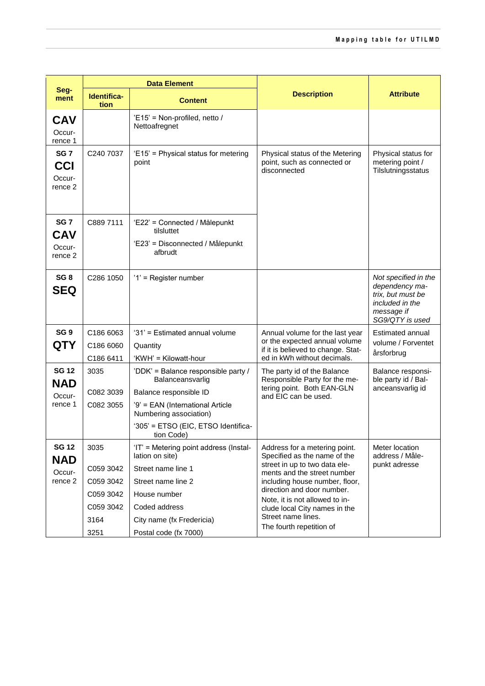|                                                               | <b>Data Element</b>                                                      |                                                                                                                                                                                                      |                                                                                                                                                                                                                                                                                                                    |                                                                                                                 |
|---------------------------------------------------------------|--------------------------------------------------------------------------|------------------------------------------------------------------------------------------------------------------------------------------------------------------------------------------------------|--------------------------------------------------------------------------------------------------------------------------------------------------------------------------------------------------------------------------------------------------------------------------------------------------------------------|-----------------------------------------------------------------------------------------------------------------|
| Seg-<br>ment                                                  | Identifica-<br>tion                                                      | <b>Content</b>                                                                                                                                                                                       | <b>Description</b>                                                                                                                                                                                                                                                                                                 | <b>Attribute</b>                                                                                                |
| CAV<br>Occur-<br>rence 1                                      |                                                                          | 'E15' = Non-profiled, netto /<br>Nettoafregnet                                                                                                                                                       |                                                                                                                                                                                                                                                                                                                    |                                                                                                                 |
| SG <sub>7</sub><br><b>CCI</b><br>Occur-<br>rence <sub>2</sub> | C240 7037                                                                | 'E15' = Physical status for metering<br>point                                                                                                                                                        | Physical status of the Metering<br>point, such as connected or<br>disconnected                                                                                                                                                                                                                                     | Physical status for<br>metering point /<br>Tilslutningsstatus                                                   |
| SG <sub>7</sub><br><b>CAV</b><br>Occur-<br>rence 2            | C889 7111                                                                | 'E22' = Connected / Målepunkt<br>tilsluttet<br>'E23' = Disconnected / Målepunkt<br>afbrudt                                                                                                           |                                                                                                                                                                                                                                                                                                                    |                                                                                                                 |
| SG <sub>8</sub><br><b>SEQ</b>                                 | C286 1050                                                                | '1' = Register number                                                                                                                                                                                |                                                                                                                                                                                                                                                                                                                    | Not specified in the<br>dependency ma-<br>trix, but must be<br>included in the<br>message if<br>SG9/QTY is used |
| SG <sub>9</sub><br>QTY                                        | C186 6063<br>C186 6060<br>C186 6411                                      | '31' = Estimated annual volume<br>Quantity<br>'KWH' = Kilowatt-hour                                                                                                                                  | Annual volume for the last year<br>or the expected annual volume<br>if it is believed to change. Stat-<br>ed in kWh without decimals.                                                                                                                                                                              | Estimated annual<br>volume / Forventet<br>årsforbrug                                                            |
| <b>SG 12</b><br><b>NAD</b><br>Occur-<br>rence 1               | 3035<br>C082 3039<br>C082 3055                                           | 'DDK' = Balance responsible party /<br>Balanceansvarlig<br>Balance responsible ID<br>'9' = EAN (International Article<br>Numbering association)<br>'305' = ETSO (EIC, ETSO Identifica-<br>tion Code) | The party id of the Balance<br>Responsible Party for the me-<br>tering point. Both EAN-GLN<br>and EIC can be used.                                                                                                                                                                                                 | Balance responsi-<br>ble party id / Bal-<br>anceansvarlig id                                                    |
| <b>SG 12</b><br><b>NAD</b><br>Occur-<br>rence 2               | 3035<br>C059 3042<br>C059 3042<br>C059 3042<br>C059 3042<br>3164<br>3251 | 'IT' = Metering point address (Instal-<br>lation on site)<br>Street name line 1<br>Street name line 2<br>House number<br>Coded address<br>City name (fx Fredericia)<br>Postal code (fx 7000)         | Address for a metering point.<br>Specified as the name of the<br>street in up to two data ele-<br>ments and the street number<br>including house number, floor,<br>direction and door number.<br>Note, it is not allowed to in-<br>clude local City names in the<br>Street name lines.<br>The fourth repetition of | Meter location<br>address / Måle-<br>punkt adresse                                                              |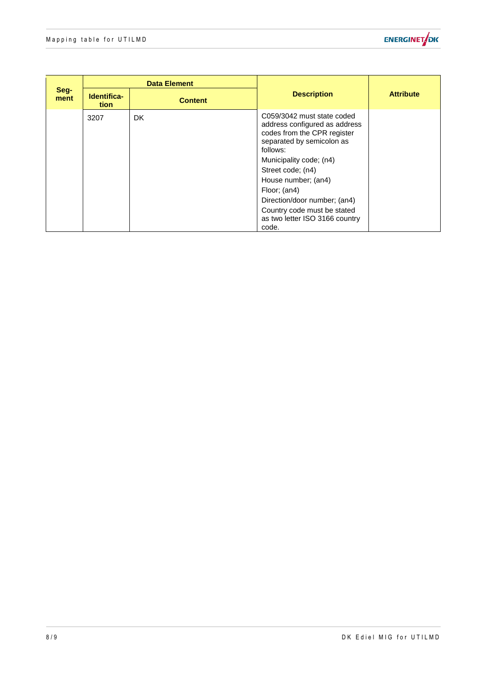

| Seg-<br>ment |                     | <b>Data Element</b> |                                                                                                                                                                                                                                                                                                                                      |                  |
|--------------|---------------------|---------------------|--------------------------------------------------------------------------------------------------------------------------------------------------------------------------------------------------------------------------------------------------------------------------------------------------------------------------------------|------------------|
|              | Identifica-<br>tion | <b>Content</b>      | <b>Description</b>                                                                                                                                                                                                                                                                                                                   | <b>Attribute</b> |
|              | 3207                | DK.                 | C059/3042 must state coded<br>address configured as address<br>codes from the CPR register<br>separated by semicolon as<br>follows:<br>Municipality code; (n4)<br>Street code; (n4)<br>House number; (an4)<br>Floor; (an4)<br>Direction/door number; (an4)<br>Country code must be stated<br>as two letter ISO 3166 country<br>code. |                  |